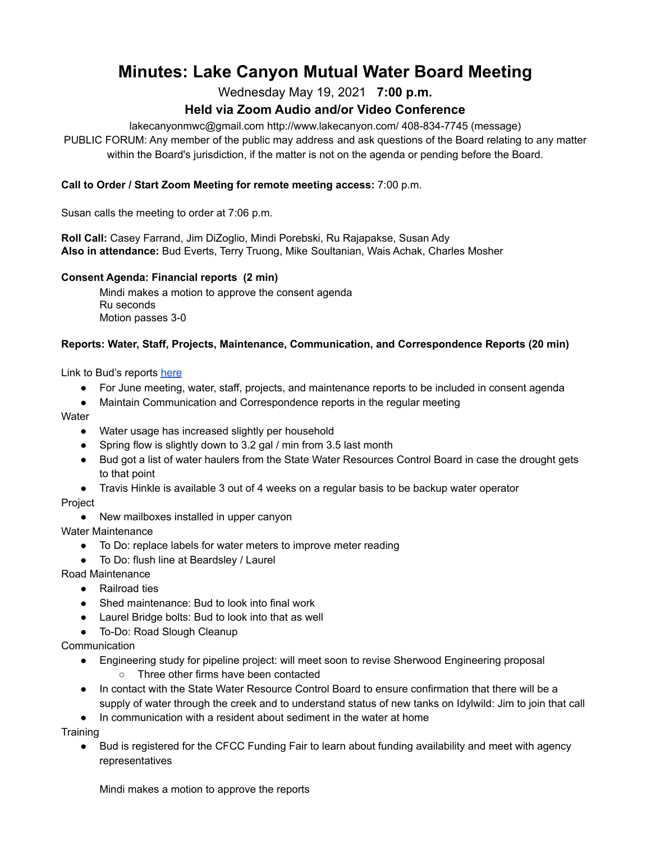# **Minutes: Lake Canyon Mutual Water Board Meeting**

Wednesday May 19, 2021 **7:00 p.m.**

# **Held via Zoom Audio and/or Video Conference**

lakecanyonmwc@gmail.com http://www.lakecanyon.com/ 408-834-7745 (message)

PUBLIC FORUM: Any member of the public may address and ask questions of the Board relating to any matter within the Board's jurisdiction, if the matter is not on the agenda or pending before the Board.

#### **Call to Order / Start Zoom Meeting for remote meeting access:** 7:00 p.m.

Susan calls the meeting to order at 7:06 p.m.

**Roll Call:** Casey Farrand, Jim DiZoglio, Mindi Porebski, Ru Rajapakse, Susan Ady **Also in attendance:** Bud Everts, Terry Truong, Mike Soultanian, Wais Achak, Charles Mosher

#### **Consent Agenda: Financial reports (2 min)**

Mindi makes a motion to approve the consent agenda Ru seconds Motion passes 3-0

#### **Reports: Water, Staff, Projects, Maintenance, Communication, and Correspondence Reports (20 min)**

Link to Bud's reports [here](https://7e761103-1889-4c62-a205-c99a02daa857.usrfiles.com/ugd/7e7611_00d95db70fe24067a86949bfa2955c4e.pdf)

- For June meeting, water, staff, projects, and maintenance reports to be included in consent agenda
- Maintain Communication and Correspondence reports in the regular meeting

**Water** 

- Water usage has increased slightly per household
- Spring flow is slightly down to 3.2 gal / min from 3.5 last month
- Bud got a list of water haulers from the State Water Resources Control Board in case the drought gets to that point
- Travis Hinkle is available 3 out of 4 weeks on a regular basis to be backup water operator

Project

● New mailboxes installed in upper canyon

Water Maintenance

- To Do: replace labels for water meters to improve meter reading
- To Do: flush line at Beardsley / Laurel

Road Maintenance

- Railroad ties
- Shed maintenance: Bud to look into final work
- Laurel Bridge bolts: Bud to look into that as well
- To-Do: Road Slough Cleanup

**Communication** 

- Engineering study for pipeline project: will meet soon to revise Sherwood Engineering proposal
	- Three other firms have been contacted
- In contact with the State Water Resource Control Board to ensure confirmation that there will be a supply of water through the creek and to understand status of new tanks on Idylwild: Jim to join that call
- In communication with a resident about sediment in the water at home

Training

● Bud is registered for the CFCC Funding Fair to learn about funding availability and meet with agency representatives

Mindi makes a motion to approve the reports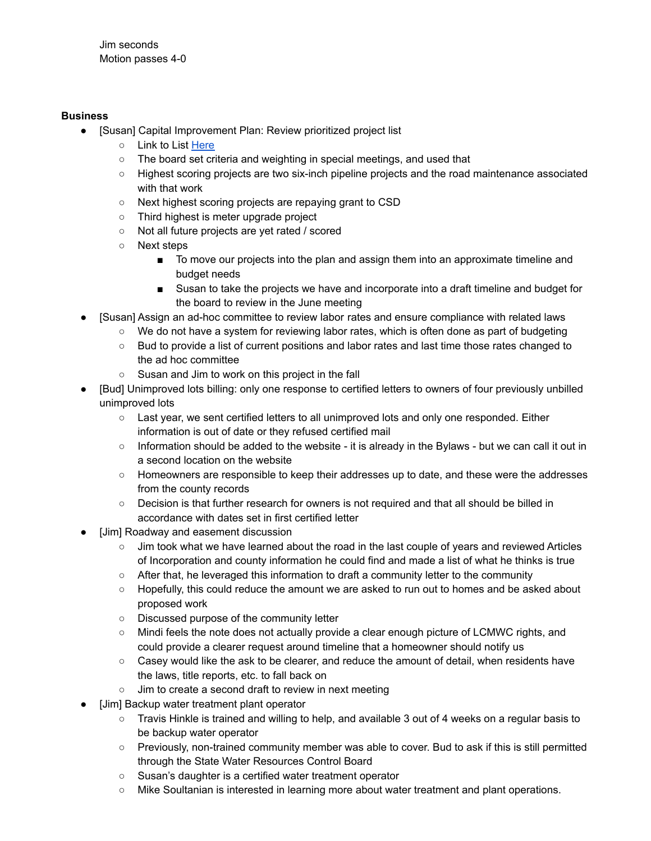#### **Business**

- [Susan] Capital Improvement Plan: Review prioritized project list
	- Link to List [Here](https://7e761103-1889-4c62-a205-c99a02daa857.usrfiles.com/ugd/7e7611_2abd7f458ee7455ca3439c96e71c17e5.pdf)
	- The board set criteria and weighting in special meetings, and used that
	- Highest scoring projects are two six-inch pipeline projects and the road maintenance associated with that work
	- Next highest scoring projects are repaying grant to CSD
	- Third highest is meter upgrade project
	- Not all future projects are yet rated / scored
	- Next steps
		- To move our projects into the plan and assign them into an approximate timeline and budget needs
		- Susan to take the projects we have and incorporate into a draft timeline and budget for the board to review in the June meeting
- [Susan] Assign an ad-hoc committee to review labor rates and ensure compliance with related laws
	- We do not have a system for reviewing labor rates, which is often done as part of budgeting
	- Bud to provide a list of current positions and labor rates and last time those rates changed to the ad hoc committee
	- Susan and Jim to work on this project in the fall
- [Bud] Unimproved lots billing: only one response to certified letters to owners of four previously unbilled unimproved lots
	- Last year, we sent certified letters to all unimproved lots and only one responded. Either information is out of date or they refused certified mail
	- Information should be added to the website it is already in the Bylaws but we can call it out in a second location on the website
	- Homeowners are responsible to keep their addresses up to date, and these were the addresses from the county records
	- Decision is that further research for owners is not required and that all should be billed in accordance with dates set in first certified letter
- [Jim] Roadway and easement discussion
	- Jim took what we have learned about the road in the last couple of years and reviewed Articles of Incorporation and county information he could find and made a list of what he thinks is true
	- After that, he leveraged this information to draft a community letter to the community
	- Hopefully, this could reduce the amount we are asked to run out to homes and be asked about proposed work
	- Discussed purpose of the community letter
	- Mindi feels the note does not actually provide a clear enough picture of LCMWC rights, and could provide a clearer request around timeline that a homeowner should notify us
	- Casey would like the ask to be clearer, and reduce the amount of detail, when residents have the laws, title reports, etc. to fall back on
	- Jim to create a second draft to review in next meeting
- [Jim] Backup water treatment plant operator
	- Travis Hinkle is trained and willing to help, and available 3 out of 4 weeks on a regular basis to be backup water operator
	- Previously, non-trained community member was able to cover. Bud to ask if this is still permitted through the State Water Resources Control Board
	- Susan's daughter is a certified water treatment operator
	- Mike Soultanian is interested in learning more about water treatment and plant operations.